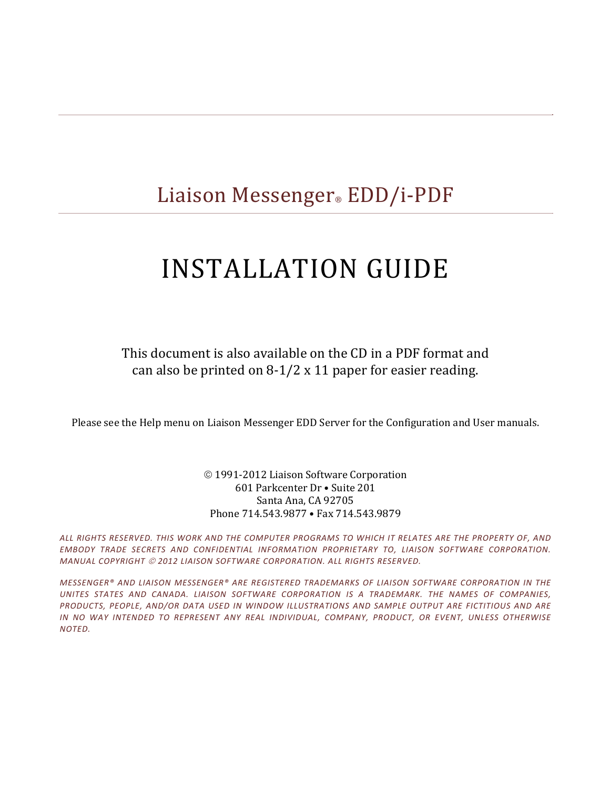# Liaison Messenger® EDD/i-PDF

# INSTALLATION GUIDE

This document is also available on the CD in a PDF format and can also be printed on  $8-1/2 \times 11$  paper for easier reading.

Please see the Help menu on Liaison Messenger EDD Server for the Configuration and User manuals.

#### © 1991-2012 Liaison Software Corporation 601 Parkcenter Dr · Suite 201 Santa Ana, CA 92705 Phone 714.543.9877 • Fax 714.543.9879

ALL RIGHTS RESERVED. THIS WORK AND THE COMPUTER PROGRAMS TO WHICH IT RELATES ARE THE PROPERTY OF, AND *EMBODY TRADE SECRETS AND CONFIDENTIAL INFORMATION PROPRIETARY TO, LIAISON SOFTWARE CORPORATION. MANUAL COPYRIGHT 2012 LIAISON SOFTWARE CORPORATION. ALL RIGHTS RESERVED.*

*MESSENGER® AND LIAISON MESSENGER® ARE REGISTERED TRADEMARKS OF LIAISON SOFTWARE CORPORATION IN THE UNITES STATES AND CANADA. LIAISON SOFTWARE CORPORATION IS A TRADEMARK. THE NAMES OF COMPANIES, PRODUCTS, PEOPLE, AND/OR DATA USED IN WINDOW ILLUSTRATIONS AND SAMPLE OUTPUT ARE FICTITIOUS AND ARE IN NO WAY INTENDED TO REPRESENT ANY REAL INDIVIDUAL, COMPANY, PRODUCT, OR EVENT, UNLESS OTHERWISE NOTED.*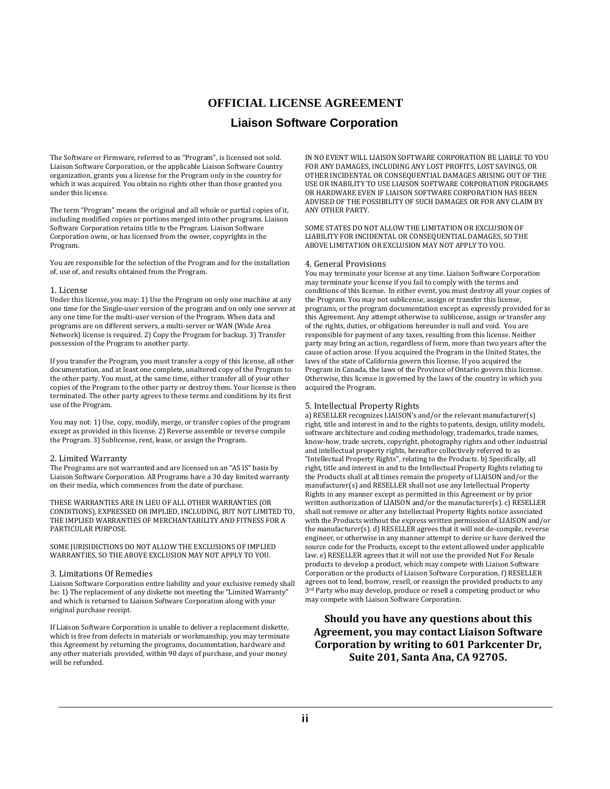## **OFFICIAL LICENSE AGREEMENT Liaison Software Corporation**

The Software or Firmware, referred to as "Program", is licensed not sold. Liaison Software Corporation, or the applicable Liaison Software Country organization, grants you a license for the Program only in the country for which it was acquired. You obtain no rights other than those granted you under this license.

The term "Program" means the original and all whole or partial copies of it, including modified copies or portions merged into other programs. Liaison Software Corporation retains title to the Program. Liaison Software Corporation owns, or has licensed from the owner, copyrights in the Program. 

You are responsible for the selection of the Program and for the installation of, use of, and results obtained from the Program.

#### 1. License

Under this license, you may: 1) Use the Program on only one machine at any one time for the Single-user version of the program and on only one server at any one time for the multi-user version of the Program. When data and programs are on different servers, a multi-server or WAN (Wide Area Network) license is required. 2) Copy the Program for backup. 3) Transfer possession of the Program to another party.

If you transfer the Program, you must transfer a copy of this license, all other documentation, and at least one complete, unaltered copy of the Program to the other party. You must, at the same time, either transfer all of your other copies of the Program to the other party or destroy them. Your license is then terminated. The other party agrees to these terms and conditions by its first use of the Program.

You may not: 1) Use, copy, modify, merge, or transfer copies of the program except as provided in this license. 2) Reverse assemble or reverse compile the Program. 3) Sublicense, rent, lease, or assign the Program.

#### 2. Limited Warranty

The Programs are not warranted and are licensed on an "AS IS" basis by Liaison Software Corporation. All Programs have a 30 day limited warranty on their media, which commences from the date of purchase.

THESE WARRANTIES ARE IN LIEU OF ALL OTHER WARRANTIES (OR CONDITIONS), EXPRESSED OR IMPLIED, INCLUDING, BUT NOT LIMITED TO, THE IMPLIED WARRANTIES OF MERCHANTABILITY AND FITNESS FOR A PARTICULAR PURPOSE.

SOME JURISIDICTIONS DO NOT ALLOW THE EXCLUSIONS OF IMPLIED WARRANTIES, SO THE ABOVE EXCLUSION MAY NOT APPLY TO YOU.

#### 3. Limitations Of Remedies

Liaison Software Corporation entire liability and your exclusive remedy shall be: 1) The replacement of any diskette not meeting the "Limited Warranty" and which is returned to Liaison Software Corporation along with your original purchase receipt.

If Liaison Software Corporation is unable to deliver a replacement diskette, which is free from defects in materials or workmanship, you may terminate this Agreement by returning the programs, documentation, hardware and any other materials provided, within 90 days of purchase, and your money will be refunded.

IN NO EVENT WILL LIAISON SOFTWARE CORPORATION BE LIABLE TO YOU FOR ANY DAMAGES, INCLUDING ANY LOST PROFITS, LOST SAVINGS, OR OTHER INCIDENTAL OR CONSEQUENTIAL DAMAGES ARISING OUT OF THE USE OR INABILITY TO USE LIAISON SOFTWARE CORPORATION PROGRAMS OR HARDWARE EVEN IF LIAISON SOFTWARE CORPORATION HAS BEEN ADVISED OF THE POSSIBILITY OF SUCH DAMAGES OR FOR ANY CLAIM BY ANY OTHER PARTY. 

SOME STATES DO NOT ALLOW THE LIMITATION OR EXCLUSION OF LIABILITY FOR INCIDENTAL OR CONSEQUENTIAL DAMAGES, SO THE ABOVE LIMITATION OR EXCLUSION MAY NOT APPLY TO YOU.

#### 4. General Provisions

You may terminate your license at any time. Liaison Software Corporation may terminate your license if you fail to comply with the terms and conditions of this license. In either event, you must destroy all your copies of the Program. You may not sublicense, assign or transfer this license, programs, or the program documentation except as expressly provided for in this Agreement. Any attempt otherwise to sublicense, assign or transfer any of the rights, duties, or obligations hereunder is null and void. You are responsible for payment of any taxes, resulting from this license. Neither party may bring an action, regardless of form, more than two years after the cause of action arose. If you acquired the Program in the United States, the laws of the state of California govern this license. If you acquired the Program in Canada, the laws of the Province of Ontario govern this license. Otherwise, this license is governed by the laws of the country in which you acquired the Program.

#### 5. Intellectual Property Rights

a) RESELLER recognizes LIAISON's and/or the relevant manufacturer(s) right, title and interest in and to the rights to patents, design, utility models, software architecture and coding methodology, trademarks, trade names, know-how, trade secrets, copyright, photography rights and other industrial and intellectual property rights, hereafter collectively referred to as "Intellectual Property Rights", relating to the Products. b) Specifically, all right, title and interest in and to the Intellectual Property Rights relating to the Products shall at all times remain the property of LIAISON and/or the manufacturer(s) and RESELLER shall not use any Intellectual Property Rights in any manner except as permitted in this Agreement or by prior written authorization of LIAISON and/or the manufacturer(s). c) RESELLER shall not remove or alter any Intellectual Property Rights notice associated with the Products without the express written permission of LIAISON and/or the manufacturer(s). d) RESELLER agrees that it will not de-compile, reverse engineer, or otherwise in any manner attempt to derive or have derived the source code for the Products, except to the extent allowed under applicable law. e) RESELLER agrees that it will not use the provided Not For Resale products to develop a product, which may compete with Liaison Software Corporation or the products of Liaison Software Corporation. f) RESELLER agrees not to lend, borrow, resell, or reassign the provided products to any 3<sup>rd</sup> Party who may develop, produce or resell a competing product or who may compete with Liaison Software Corporation.

#### **Should you have any questions about this Agreement, you may contact Liaison Software Corporation by writing to 601 Parkcenter Dr, Suite 201, Santa Ana, CA 92705.**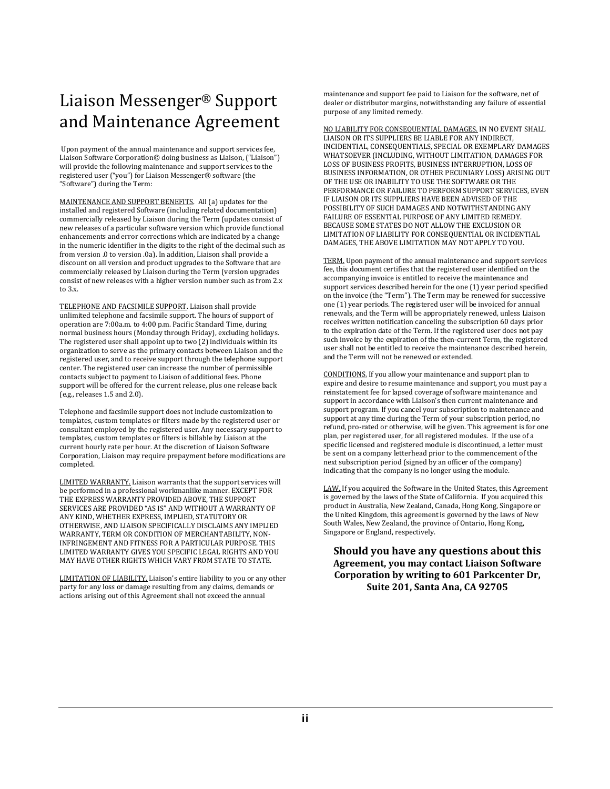# Liaison Messenger<sup>®</sup> Support and Maintenance Agreement

Upon payment of the annual maintenance and support services fee, Liaison Software Corporation© doing business as Liaison, ("Liaison") will provide the following maintenance and support services to the registered user ("you") for Liaison Messenger® software (the "Software") during the Term:

MAINTENANCE AND SUPPORT BENEFITS. All (a) updates for the installed and registered Software (including related documentation) commercially released by Liaison during the Term (updates consist of new releases of a particular software version which provide functional enhancements and error corrections which are indicated by a change in the numeric identifier in the digits to the right of the decimal such as from version .0 to version .0a). In addition, Liaison shall provide a discount on all version and product upgrades to the Software that are commercially released by Liaison during the Term (version upgrades consist of new releases with a higher version number such as from 2.x to  $3.x$ .

TELEPHONE AND FACSIMILE SUPPORT. Liaison shall provide unlimited telephone and facsimile support. The hours of support of operation are 7:00a.m. to 4:00 p.m. Pacific Standard Time, during normal business hours (Monday through Friday), excluding holidays. The registered user shall appoint up to two  $(2)$  individuals within its organization to serve as the primary contacts between Liaison and the registered user, and to receive support through the telephone support center. The registered user can increase the number of permissible contacts subject to payment to Liaison of additional fees. Phone support will be offered for the current release, plus one release back (e.g., releases 1.5 and 2.0).

Telephone and facsimile support does not include customization to templates, custom templates or filters made by the registered user or consultant employed by the registered user. Any necessary support to templates, custom templates or filters is billable by Liaison at the current hourly rate per hour. At the discretion of Liaison Software Corporation, Liaison may require prepayment before modifications are completed. 

LIMITED WARRANTY. Liaison warrants that the support services will be performed in a professional workmanlike manner. EXCEPT FOR THE EXPRESS WARRANTY PROVIDED ABOVE, THE SUPPORT SERVICES ARE PROVIDED "AS IS" AND WITHOUT A WARRANTY OF ANY KIND, WHETHER EXPRESS, IMPLIED, STATUTORY OR OTHERWISE, AND LIAISON SPECIFICALLY DISCLAIMS ANY IMPLIED WARRANTY, TERM OR CONDITION OF MERCHANTABILITY, NON-INFRINGEMENT AND FITNESS FOR A PARTICULAR PURPOSE. THIS LIMITED WARRANTY GIVES YOU SPECIFIC LEGAL RIGHTS AND YOU MAY HAVE OTHER RIGHTS WHICH VARY FROM STATE TO STATE.

LIMITATION OF LIABILITY. Liaison's entire liability to you or any other party for any loss or damage resulting from any claims, demands or actions arising out of this Agreement shall not exceed the annual

maintenance and support fee paid to Liaison for the software, net of dealer or distributor margins, notwithstanding any failure of essential purpose of any limited remedy.

NO LIABILITY FOR CONSEOUENTIAL DAMAGES. IN NO EVENT SHALL LIAISON OR ITS SUPPLIERS BE LIABLE FOR ANY INDIRECT, INCIDENTIAL, CONSEQUENTIALS, SPECIAL OR EXEMPLARY DAMAGES WHATSOEVER (INCLUDING, WITHOUT LIMITATION, DAMAGES FOR LOSS OF BUSINESS PROFITS, BUSINESS INTERRUPTION, LOSS OF BUSINESS INFORMATION, OR OTHER PECUNIARY LOSS) ARISING OUT OF THE USE OR INABILITY TO USE THE SOFTWARE OR THE PERFORMANCE OR FAILURE TO PERFORM SUPPORT SERVICES, EVEN IF LIAISON OR ITS SUPPLIERS HAVE BEEN ADVISED OF THE POSSIBILITY OF SUCH DAMAGES AND NOTWITHSTANDING ANY FAILURE OF ESSENTIAL PURPOSE OF ANY LIMITED REMEDY. BECAUSE SOME STATES DO NOT ALLOW THE EXCLUSION OR LIMITATION OF LIABILITY FOR CONSEQUENTIAL OR INCIDENTIAL DAMAGES, THE ABOVE LIMITATION MAY NOT APPLY TO YOU.

TERM. Upon payment of the annual maintenance and support services fee, this document certifies that the registered user identified on the accompanying invoice is entitled to receive the maintenance and support services described herein for the one  $(1)$  year period specified on the invoice (the "Term"). The Term may be renewed for successive one (1) year periods. The registered user will be invoiced for annual renewals, and the Term will be appropriately renewed, unless Liaison receives written notification canceling the subscription 60 days prior to the expiration date of the Term. If the registered user does not pay such invoice by the expiration of the then-current Term, the registered user shall not be entitled to receive the maintenance described herein, and the Term will not be renewed or extended.

CONDITIONS. If you allow your maintenance and support plan to expire and desire to resume maintenance and support, you must pay a reinstatement fee for lapsed coverage of software maintenance and support in accordance with Liaison's then current maintenance and support program. If you cancel your subscription to maintenance and support at any time during the Term of your subscription period, no refund, pro-rated or otherwise, will be given. This agreement is for one plan, per registered user, for all registered modules. If the use of a specific licensed and registered module is discontinued, a letter must be sent on a company letterhead prior to the commencement of the next subscription period (signed by an officer of the company) indicating that the company is no longer using the module.

LAW. If you acquired the Software in the United States, this Agreement is governed by the laws of the State of California. If you acquired this product in Australia, New Zealand, Canada, Hong Kong, Singapore or the United Kingdom, this agreement is governed by the laws of New South Wales, New Zealand, the province of Ontario, Hong Kong, Singapore or England, respectively.

**Should you have any questions about this Agreement, you may contact Liaison Software Corporation by writing to 601 Parkcenter Dr, Suite 201, Santa Ana, CA 92705**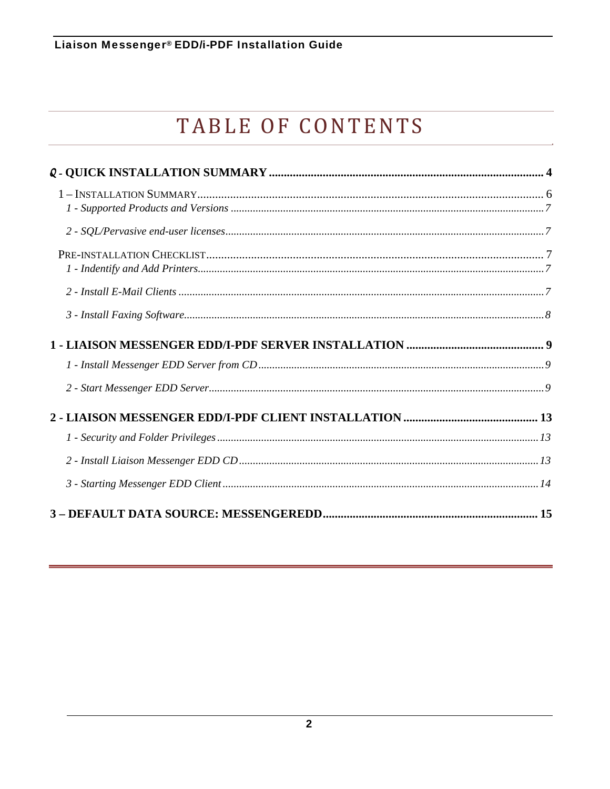# TABLE OF CONTENTS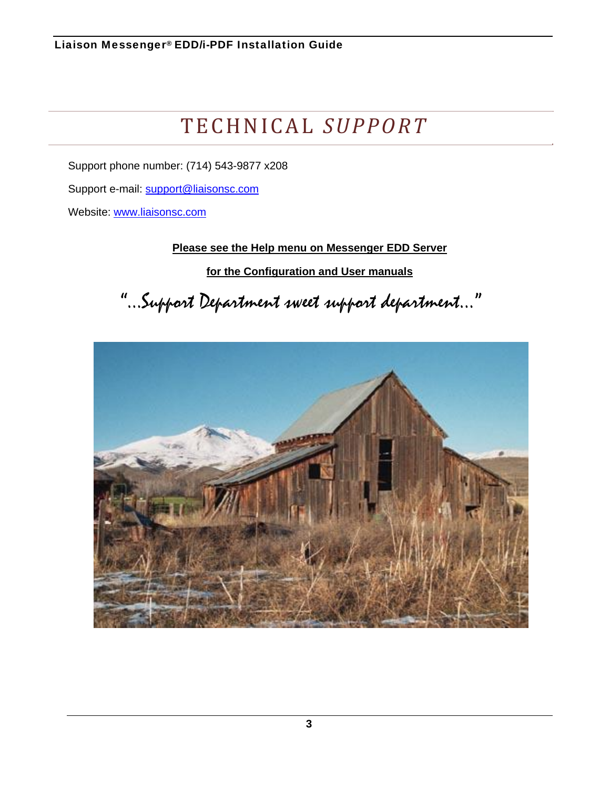# TECHNICAL *SUPPORT*

Support phone number: (714) 543-9877 x208

Support e-mail: support@liaisonsc.com

Website: www.liaisonsc.com

**Please see the Help menu on Messenger EDD Server** 

**for the Configuration and User manuals** 

"…Support Department sweet support department…"

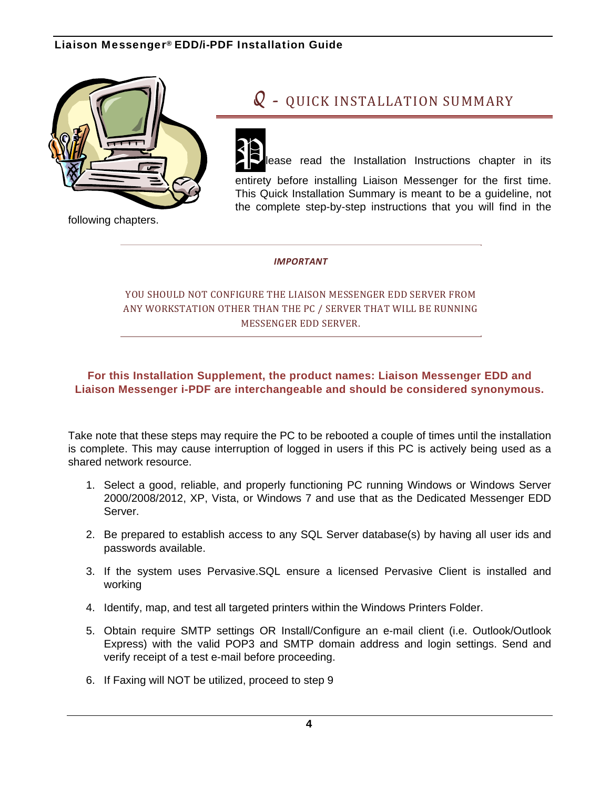

## $Q$  - QUICK INSTALLATION SUMMARY



ease read the Installation Instructions chapter in its

entirety before installing Liaison Messenger for the first time. This Quick Installation Summary is meant to be a guideline, not the complete step-by-step instructions that you will find in the

following chapters.

#### *IMPORTANT*

### YOU SHOULD NOT CONFIGURE THE LIAISON MESSENGER EDD SERVER FROM ANY WORKSTATION OTHER THAN THE PC / SERVER THAT WILL BE RUNNING MESSENGER EDD SERVER.

#### **For this Installation Supplement, the product names: Liaison Messenger EDD and Liaison Messenger i-PDF are interchangeable and should be considered synonymous.**

Take note that these steps may require the PC to be rebooted a couple of times until the installation is complete. This may cause interruption of logged in users if this PC is actively being used as a shared network resource.

- 1. Select a good, reliable, and properly functioning PC running Windows or Windows Server 2000/2008/2012, XP, Vista, or Windows 7 and use that as the Dedicated Messenger EDD Server.
- 2. Be prepared to establish access to any SQL Server database(s) by having all user ids and passwords available.
- 3. If the system uses Pervasive.SQL ensure a licensed Pervasive Client is installed and working
- 4. Identify, map, and test all targeted printers within the Windows Printers Folder.
- 5. Obtain require SMTP settings OR Install/Configure an e-mail client (i.e. Outlook/Outlook Express) with the valid POP3 and SMTP domain address and login settings. Send and verify receipt of a test e-mail before proceeding.
- 6. If Faxing will NOT be utilized, proceed to step 9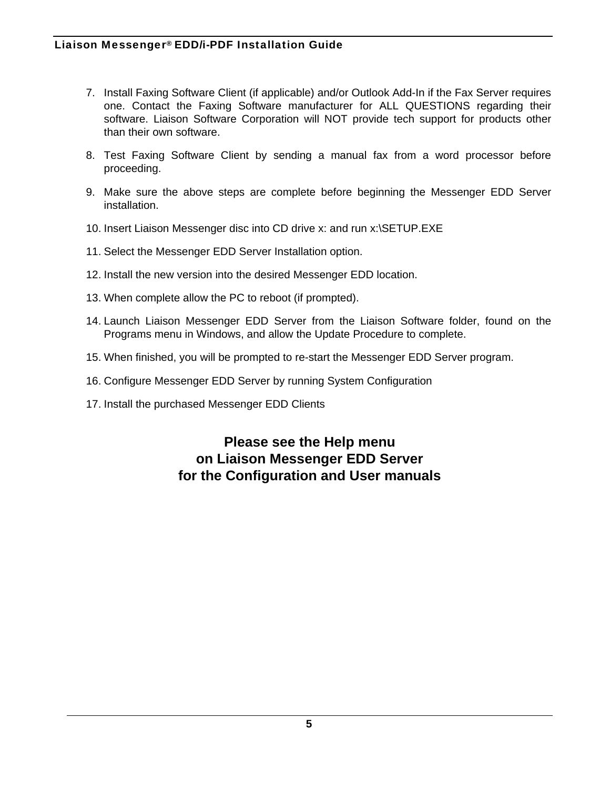- 7. Install Faxing Software Client (if applicable) and/or Outlook Add-In if the Fax Server requires one. Contact the Faxing Software manufacturer for ALL QUESTIONS regarding their software. Liaison Software Corporation will NOT provide tech support for products other than their own software.
- 8. Test Faxing Software Client by sending a manual fax from a word processor before proceeding.
- 9. Make sure the above steps are complete before beginning the Messenger EDD Server installation.
- 10. Insert Liaison Messenger disc into CD drive x: and run x:\SETUP.EXE
- 11. Select the Messenger EDD Server Installation option.
- 12. Install the new version into the desired Messenger EDD location.
- 13. When complete allow the PC to reboot (if prompted).
- 14. Launch Liaison Messenger EDD Server from the Liaison Software folder, found on the Programs menu in Windows, and allow the Update Procedure to complete.
- 15. When finished, you will be prompted to re-start the Messenger EDD Server program.
- 16. Configure Messenger EDD Server by running System Configuration
- 17. Install the purchased Messenger EDD Clients

**Please see the Help menu on Liaison Messenger EDD Server for the Configuration and User manuals**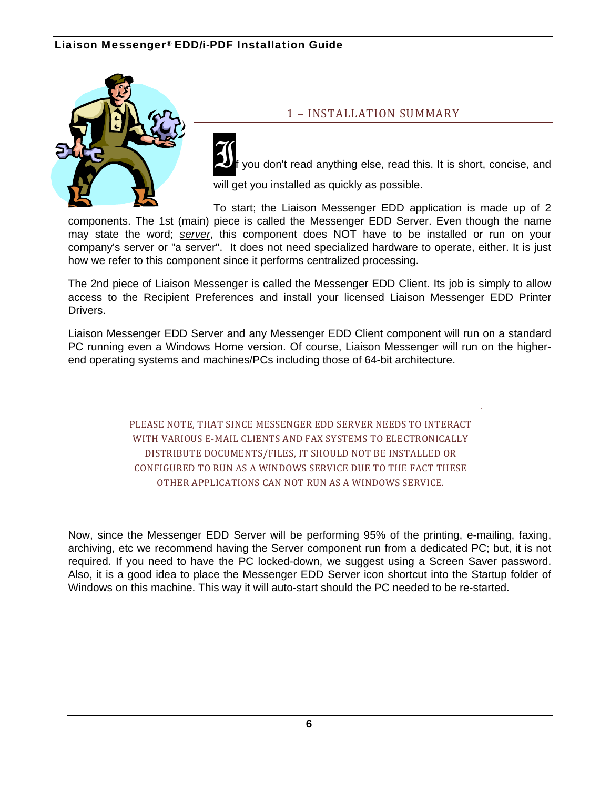

#### 1 - INSTALLATION SUMMARY

you don't read anything else, read this. It is short, concise, and will get you installed as quickly as possible.

To start; the Liaison Messenger EDD application is made up of 2 components. The 1st (main) piece is called the Messenger EDD Server. Even though the name may state the word; *server*, this component does NOT have to be installed or run on your company's server or "a server". It does not need specialized hardware to operate, either. It is just how we refer to this component since it performs centralized processing.

The 2nd piece of Liaison Messenger is called the Messenger EDD Client. Its job is simply to allow access to the Recipient Preferences and install your licensed Liaison Messenger EDD Printer **Drivers** 

Liaison Messenger EDD Server and any Messenger EDD Client component will run on a standard PC running even a Windows Home version. Of course, Liaison Messenger will run on the higherend operating systems and machines/PCs including those of 64-bit architecture.

> PLEASE NOTE, THAT SINCE MESSENGER EDD SERVER NEEDS TO INTERACT WITH VARIOUS E-MAIL CLIENTS AND FAX SYSTEMS TO ELECTRONICALLY DISTRIBUTE DOCUMENTS/FILES, IT SHOULD NOT BE INSTALLED OR CONFIGURED TO RUN AS A WINDOWS SERVICE DUE TO THE FACT THESE OTHER APPLICATIONS CAN NOT RUN AS A WINDOWS SERVICE.

Now, since the Messenger EDD Server will be performing 95% of the printing, e-mailing, faxing, archiving, etc we recommend having the Server component run from a dedicated PC; but, it is not required. If you need to have the PC locked-down, we suggest using a Screen Saver password. Also, it is a good idea to place the Messenger EDD Server icon shortcut into the Startup folder of Windows on this machine. This way it will auto-start should the PC needed to be re-started.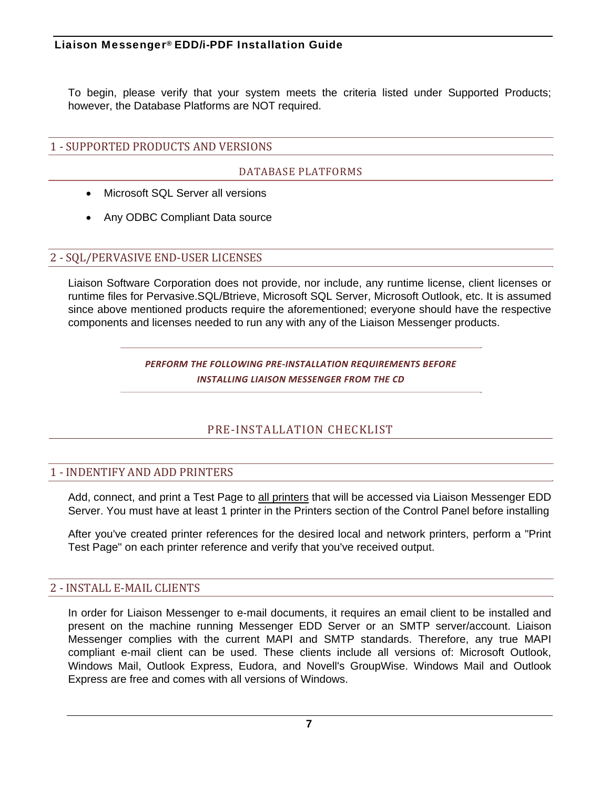To begin, please verify that your system meets the criteria listed under Supported Products; however, the Database Platforms are NOT required.

### 1 - SUPPORTED PRODUCTS AND VERSIONS

#### DATABASE PLATFORMS

- Microsoft SQL Server all versions
- Any ODBC Compliant Data source

#### 2 - SQL/PERVASIVE END-USER LICENSES

Liaison Software Corporation does not provide, nor include, any runtime license, client licenses or runtime files for Pervasive.SQL/Btrieve, Microsoft SQL Server, Microsoft Outlook, etc. It is assumed since above mentioned products require the aforementioned; everyone should have the respective components and licenses needed to run any with any of the Liaison Messenger products.

> *PERFORM THE FOLLOWING PRE‐INSTALLATION REQUIREMENTS BEFORE INSTALLING LIAISON MESSENGER FROM THE CD*

## PRE‐INSTALLATION CHECKLIST

### 1 - INDENTIFY AND ADD PRINTERS

Add, connect, and print a Test Page to all printers that will be accessed via Liaison Messenger EDD Server. You must have at least 1 printer in the Printers section of the Control Panel before installing

After you've created printer references for the desired local and network printers, perform a "Print Test Page" on each printer reference and verify that you've received output.

#### 2 - INSTALL E-MAIL CLIENTS

In order for Liaison Messenger to e-mail documents, it requires an email client to be installed and present on the machine running Messenger EDD Server or an SMTP server/account. Liaison Messenger complies with the current MAPI and SMTP standards. Therefore, any true MAPI compliant e-mail client can be used. These clients include all versions of: Microsoft Outlook, Windows Mail, Outlook Express, Eudora, and Novell's GroupWise. Windows Mail and Outlook Express are free and comes with all versions of Windows.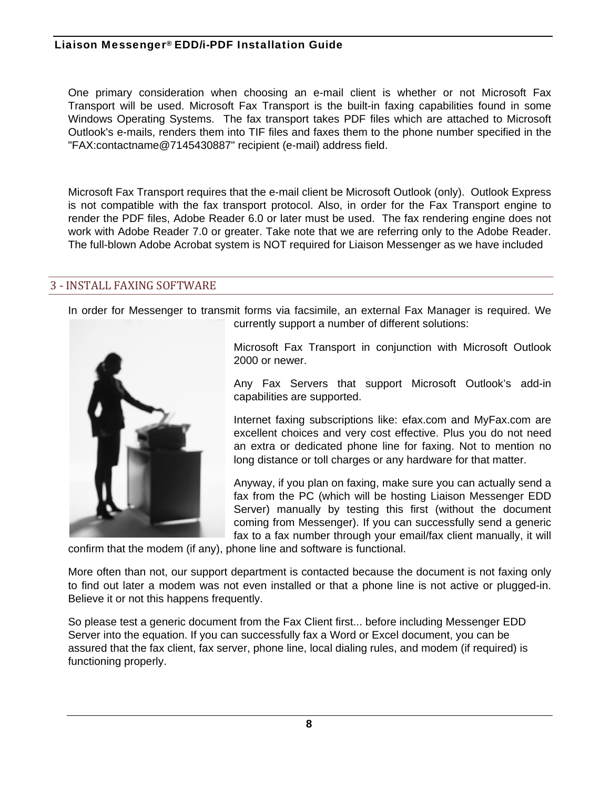One primary consideration when choosing an e-mail client is whether or not Microsoft Fax Transport will be used. Microsoft Fax Transport is the built-in faxing capabilities found in some Windows Operating Systems. The fax transport takes PDF files which are attached to Microsoft Outlook's e-mails, renders them into TIF files and faxes them to the phone number specified in the "FAX:contactname@7145430887" recipient (e-mail) address field.

Microsoft Fax Transport requires that the e-mail client be Microsoft Outlook (only). Outlook Express is not compatible with the fax transport protocol. Also, in order for the Fax Transport engine to render the PDF files, Adobe Reader 6.0 or later must be used. The fax rendering engine does not work with Adobe Reader 7.0 or greater. Take note that we are referring only to the Adobe Reader. The full-blown Adobe Acrobat system is NOT required for Liaison Messenger as we have included

#### **3 - INSTALL FAXING SOFTWARE**

In order for Messenger to transmit forms via facsimile, an external Fax Manager is required. We currently support a number of different solutions:



Microsoft Fax Transport in conjunction with Microsoft Outlook 2000 or newer.

Any Fax Servers that support Microsoft Outlook's add-in capabilities are supported.

Internet faxing subscriptions like: efax.com and MyFax.com are excellent choices and very cost effective. Plus you do not need an extra or dedicated phone line for faxing. Not to mention no long distance or toll charges or any hardware for that matter.

Anyway, if you plan on faxing, make sure you can actually send a fax from the PC (which will be hosting Liaison Messenger EDD Server) manually by testing this first (without the document coming from Messenger). If you can successfully send a generic fax to a fax number through your email/fax client manually, it will

confirm that the modem (if any), phone line and software is functional.

More often than not, our support department is contacted because the document is not faxing only to find out later a modem was not even installed or that a phone line is not active or plugged-in. Believe it or not this happens frequently.

So please test a generic document from the Fax Client first... before including Messenger EDD Server into the equation. If you can successfully fax a Word or Excel document, you can be assured that the fax client, fax server, phone line, local dialing rules, and modem (if required) is functioning properly.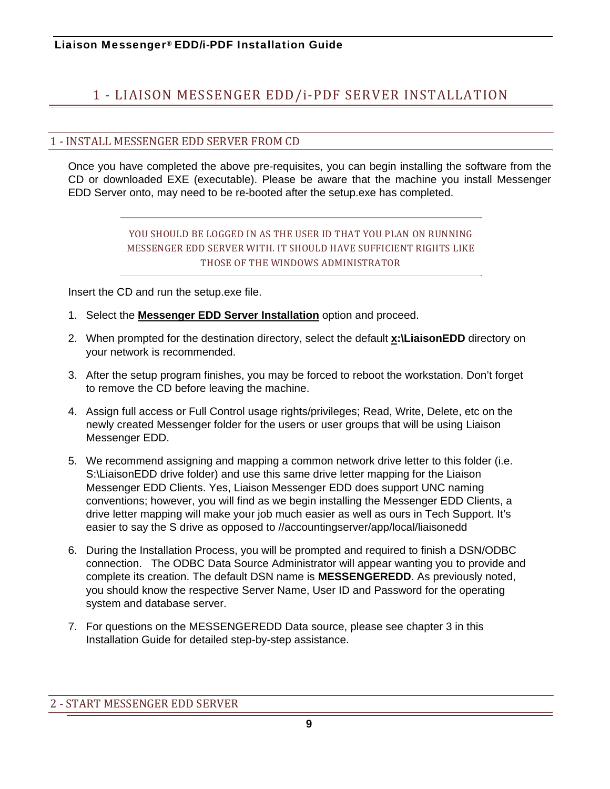## 1 - LIAISON MESSENGER EDD/i-PDF SERVER INSTALLATION

#### 1 - INSTALL MESSENGER EDD SERVER FROM CD

Once you have completed the above pre-requisites, you can begin installing the software from the CD or downloaded EXE (executable). Please be aware that the machine you install Messenger EDD Server onto, may need to be re-booted after the setup.exe has completed.

### YOU SHOULD BE LOGGED IN AS THE USER ID THAT YOU PLAN ON RUNNING MESSENGER EDD SERVER WITH. IT SHOULD HAVE SUFFICIENT RIGHTS LIKE THOSE OF THE WINDOWS ADMINISTRATOR

Insert the CD and run the setup.exe file.

- 1. Select the **Messenger EDD Server Installation** option and proceed.
- 2. When prompted for the destination directory, select the default **x:\LiaisonEDD** directory on your network is recommended.
- 3. After the setup program finishes, you may be forced to reboot the workstation. Don't forget to remove the CD before leaving the machine.
- 4. Assign full access or Full Control usage rights/privileges; Read, Write, Delete, etc on the newly created Messenger folder for the users or user groups that will be using Liaison Messenger EDD.
- 5. We recommend assigning and mapping a common network drive letter to this folder (i.e. S:\LiaisonEDD drive folder) and use this same drive letter mapping for the Liaison Messenger EDD Clients. Yes, Liaison Messenger EDD does support UNC naming conventions; however, you will find as we begin installing the Messenger EDD Clients, a drive letter mapping will make your job much easier as well as ours in Tech Support. It's easier to say the S drive as opposed to //accountingserver/app/local/liaisonedd
- 6. During the Installation Process, you will be prompted and required to finish a DSN/ODBC connection. The ODBC Data Source Administrator will appear wanting you to provide and complete its creation. The default DSN name is **MESSENGEREDD**. As previously noted, you should know the respective Server Name, User ID and Password for the operating system and database server.
- 7. For questions on the MESSENGEREDD Data source, please see chapter 3 in this Installation Guide for detailed step-by-step assistance.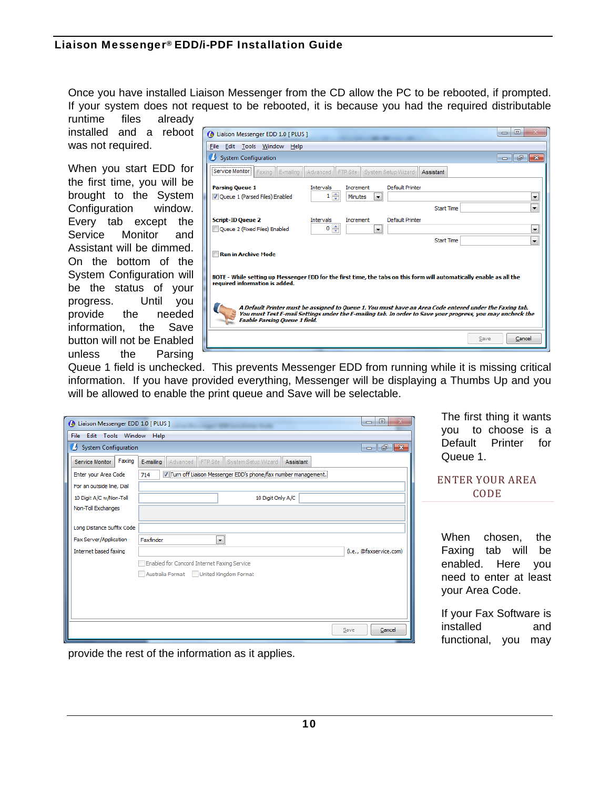Once you have installed Liaison Messenger from the CD allow the PC to be rebooted, if prompted. If your system does not request to be rebooted, it is because you had the required distributable runtime files already

installed and a reboot was not required.

When you start EDD for the first time, you will be brought to the System Configuration window. Every tab except the Service Monitor and Assistant will be dimmed. On the bottom of the System Configuration will be the status of your progress. Until you provide the needed information, the Save button will not be Enabled unless the Parsing

| 回<br>Liaison Messenger EDD 1.0 [ PLUS ]<br>$\Box$                                                                                                                                                                                                             |  |  |  |
|---------------------------------------------------------------------------------------------------------------------------------------------------------------------------------------------------------------------------------------------------------------|--|--|--|
| Edit Tools Window Help<br>File                                                                                                                                                                                                                                |  |  |  |
| System Configuration<br>F<br>$-x$<br>- 11                                                                                                                                                                                                                     |  |  |  |
| <br>Service Monitor<br>System Setup Wizard<br>Faxing<br>Advanced<br>FTP Site<br>Assistant<br>E-mailing                                                                                                                                                        |  |  |  |
| <b>Parsing Queue 1</b><br>Default Printer<br><b>Intervals</b><br>Increment                                                                                                                                                                                    |  |  |  |
| $1 \frac{1}{x}$<br>V Queue 1 (Parsed Files) Enabled<br>Minutes<br>$\overline{\phantom{a}}$                                                                                                                                                                    |  |  |  |
| <b>Start Time</b><br>▼                                                                                                                                                                                                                                        |  |  |  |
| Default Printer<br><b>Script-ID Queue 2</b><br>Intervals<br>Increment                                                                                                                                                                                         |  |  |  |
| ÷<br>0<br>Queue 2 (Fixed Files) Enabled<br>$\overline{\phantom{a}}$<br>▼                                                                                                                                                                                      |  |  |  |
| <b>Start Time</b><br>$\overline{\phantom{a}}$                                                                                                                                                                                                                 |  |  |  |
| <b>Run in Archive Mode</b>                                                                                                                                                                                                                                    |  |  |  |
| NOTE - While setting up Messenger EDD for the first time, the tabs on this form will automatically enable as all the<br>required information is added.                                                                                                        |  |  |  |
| A Default Printer must be assigned to Queue 1. You must have an Area Code entered under the Faxing tab.<br>You must Test E-mail Settings under the E-mailing tab. In order to Save your progress, you may uncheck the<br><b>Enable Parsing Queue 1 field.</b> |  |  |  |
| Cancel<br>Save                                                                                                                                                                                                                                                |  |  |  |
|                                                                                                                                                                                                                                                               |  |  |  |

Queue 1 field is unchecked. This prevents Messenger EDD from running while it is missing critical information. If you have provided everything, Messenger will be displaying a Thumbs Up and you will be allowed to enable the print queue and Save will be selectable.

| Liaison Messenger EDD 1.0 [ PLUS ]    |                                                                        | ▣<br>$\Box$                |
|---------------------------------------|------------------------------------------------------------------------|----------------------------|
| Edit Tools Window Help<br><b>File</b> |                                                                        |                            |
| System Configuration                  |                                                                        | $\Box$ $\Box$ $\mathbf{x}$ |
| Faxing<br>Service Monitor             | System Setup Wizard<br>E-mailing<br>Advanced<br>FTP Site<br>Assistant  |                            |
| Enter your Area Code                  | V Turn off Liaison Messenger EDD's phone/fax number management.<br>714 |                            |
| For an outside line, Dial             |                                                                        |                            |
| 10 Digit A/C w/Non-Toll               | 10 Digit Only A/C                                                      |                            |
| Non-Toll Exchanges                    |                                                                        |                            |
|                                       |                                                                        |                            |
| Long Distance Suffix Code             |                                                                        |                            |
| Fax Server/Application                | Faxfinder<br>$\blacktriangledown$                                      |                            |
| Internet based faxing                 |                                                                        | (i.e., @faxservice.com)    |
|                                       | Enabled for Concord Internet Faxing Service                            |                            |
|                                       | Australia Format<br>United Kingdom Format                              |                            |
|                                       |                                                                        |                            |
|                                       |                                                                        |                            |
|                                       |                                                                        |                            |
|                                       |                                                                        |                            |
|                                       |                                                                        | Cancel<br>Save             |

The first thing it wants you to choose is a Default Printer for Queue 1.

| ENTER YOUR AREA |
|-----------------|
| <b>CODE</b>     |

When chosen, the Faxing tab will be enabled. Here you need to enter at least your Area Code.

If your Fax Software is installed and functional, you may

provide the rest of the information as it applies.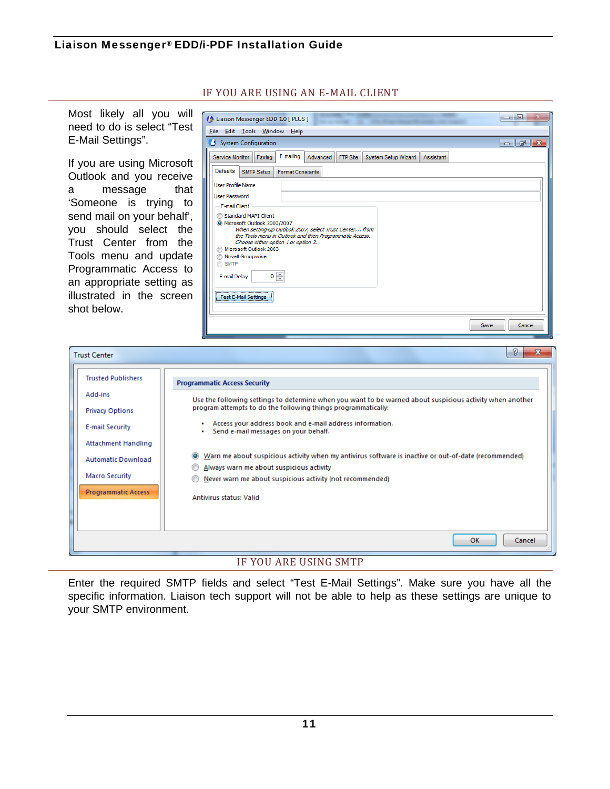| Most likely all you will<br>need to do is select "Test<br>E-Mail Settings".                                                                                                                                                                                                                                        | $= 0$<br><b>C</b> Liaison Messenger EDD 1.0 [ PLUS ]<br>File Edit Tools Window Help<br>System Configuration<br>$    -$                                                                                                                                                                                                                                                                                                                                                                                                                                                    |
|--------------------------------------------------------------------------------------------------------------------------------------------------------------------------------------------------------------------------------------------------------------------------------------------------------------------|---------------------------------------------------------------------------------------------------------------------------------------------------------------------------------------------------------------------------------------------------------------------------------------------------------------------------------------------------------------------------------------------------------------------------------------------------------------------------------------------------------------------------------------------------------------------------|
| If you are using Microsoft<br>Outlook and you receive<br>that<br>message<br>а<br>'Someone is trying to<br>send mail on your behalf',<br>you should select the<br>Trust Center from the<br>Tools menu and update<br>Programmatic Access to<br>an appropriate setting as<br>illustrated in the screen<br>shot below. | E-mailing<br>Advanced<br>FTP Site System Setup Wizard<br>Service Monitor Faxing<br>Assistant<br>Defaults<br>SMTP Setup<br><b>Format Constants</b><br>User Profile Name<br>User Password<br>E-mail Client<br>Standard MAPI Client<br>Microsoft Outlook 2000/2007<br>When setting-up Outlook 2007, select Trust Center from<br>the Tools menu in Outlook and then Programmatic Access.<br>Choose either option 1 or option 3.<br>Microsoft Outlook 2003<br>Novell Groupwise<br>SMTP<br>$0 \Rightarrow$<br>E-mail Delay<br><b>Test E-Mail Settings</b><br>Save<br>Cancel     |
| <b>Trust Center</b>                                                                                                                                                                                                                                                                                                | P<br>$\mathbf{x}$                                                                                                                                                                                                                                                                                                                                                                                                                                                                                                                                                         |
| <b>Trusted Publishers</b><br>Add-ins<br><b>Privacy Options</b><br><b>E-mail Security</b><br><b>Attachment Handling</b><br><b>Automatic Download</b><br>Macro Security<br><b>Programmatic Access</b>                                                                                                                | <b>Programmatic Access Security</b><br>Use the following settings to determine when you want to be warned about suspicious activity when another<br>program attempts to do the following things programmatically:<br>Access your address book and e-mail address information.<br>Send e-mail messages on your behalf.<br>Warn me about suspicious activity when my antivirus software is inactive or out-of-date (recommended)<br>Always warn me about suspicious activity<br>Never warn me about suspicious activity (not recommended)<br><b>Antivirus status: Valid</b> |

### IF YOU ARE USING AN E-MAIL CLIENT

### IF YOU ARE USING SMTP

Enter the required SMTP fields and select "Test E-Mail Settings". Make sure you have all the specific information. Liaison tech support will not be able to help as these settings are unique to your SMTP environment.

 $OK$ 

Cancel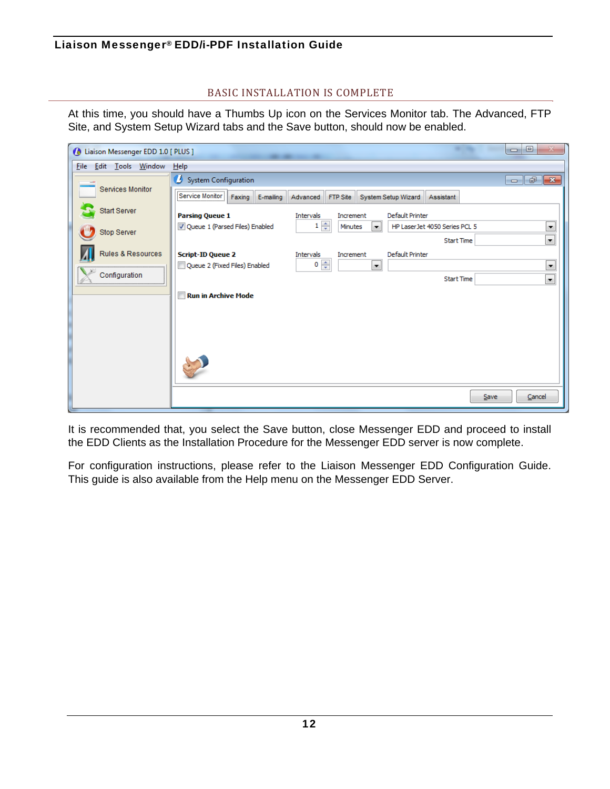### BASIC INSTALLATION IS COMPLETE

At this time, you should have a Thumbs Up icon on the Services Monitor tab. The Advanced, FTP Site, and System Setup Wizard tabs and the Save button, should now be enabled.

| Liaison Messenger EDD 1.0 [ PLUS ]                       | $\Box$<br>$\Sigma$<br>-                                                                                                  |  |  |
|----------------------------------------------------------|--------------------------------------------------------------------------------------------------------------------------|--|--|
| <u>E</u> dit <u>T</u> ools <u>W</u> indow<br><b>File</b> | He                                                                                                                       |  |  |
| Services Monitor                                         | System Configuration<br>$\Box$ $\Box$ $\Box$                                                                             |  |  |
|                                                          | Service Monitor<br>Faxing<br>E-mailing<br>Advanced<br>FTP Site<br>System Setup Wizard<br>Assistant                       |  |  |
| Start Server                                             | <b>Parsing Queue 1</b><br>Default Printer<br>Intervals<br>Increment                                                      |  |  |
| Stop Server                                              | $1 \frac{2}{x}$<br>$\blacksquare$<br>V Queue 1 (Parsed Files) Enabled<br>HP Laser Jet 4050 Series PCL 5<br>Minutes<br>l. |  |  |
|                                                          | $\overline{\phantom{0}}$<br><b>Start Time</b>                                                                            |  |  |
| Rules & Resources                                        | <b>Script-ID Queue 2</b><br>Default Printer<br>Intervals<br>Increment<br>$0 \Rightarrow$                                 |  |  |
| Configuration                                            | $\blacksquare$<br>$\blacktriangledown$<br>Queue 2 (Fixed Files) Enabled<br>$\overline{\phantom{a}}$<br><b>Start Time</b> |  |  |
|                                                          | <b>Run in Archive Mode</b>                                                                                               |  |  |
|                                                          |                                                                                                                          |  |  |
|                                                          |                                                                                                                          |  |  |
|                                                          |                                                                                                                          |  |  |
|                                                          |                                                                                                                          |  |  |
|                                                          |                                                                                                                          |  |  |
|                                                          | Cancel<br>Save                                                                                                           |  |  |

It is recommended that, you select the Save button, close Messenger EDD and proceed to install the EDD Clients as the Installation Procedure for the Messenger EDD server is now complete.

For configuration instructions, please refer to the Liaison Messenger EDD Configuration Guide. This guide is also available from the Help menu on the Messenger EDD Server.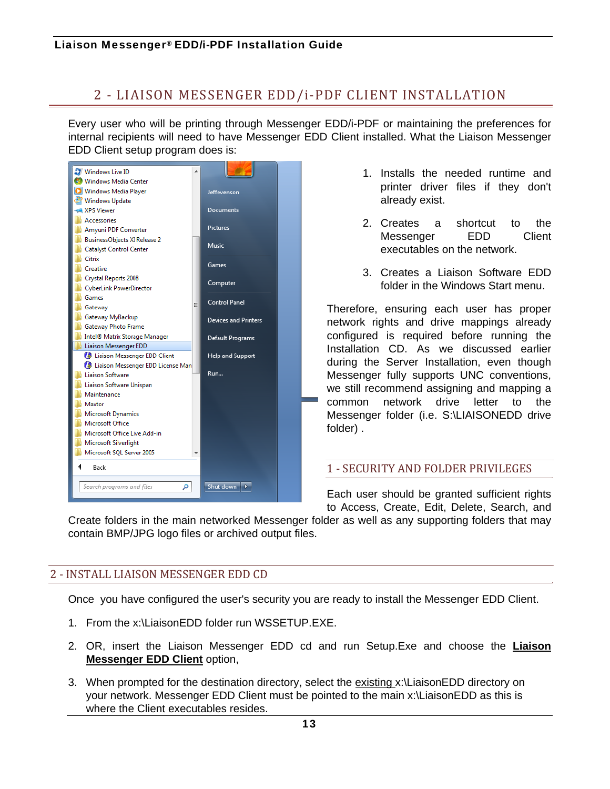## 2 - LIAISON MESSENGER EDD/i-PDF CLIENT INSTALLATION

Every user who will be printing through Messenger EDD/i-PDF or maintaining the preferences for internal recipients will need to have Messenger EDD Client installed. What the Liaison Messenger EDD Client setup program does is:



- 1. Installs the needed runtime and printer driver files if they don't already exist.
- 2. Creates a shortcut to the Messenger EDD Client executables on the network.
- 3. Creates a Liaison Software EDD folder in the Windows Start menu.

Therefore, ensuring each user has proper network rights and drive mappings already configured is required before running the Installation CD. As we discussed earlier during the Server Installation, even though Messenger fully supports UNC conventions, we still recommend assigning and mapping a common network drive letter to the Messenger folder (i.e. S:\LIAISONEDD drive folder) .

### 1 - SECURITY AND FOLDER PRIVILEGES

Each user should be granted sufficient rights to Access, Create, Edit, Delete, Search, and

Create folders in the main networked Messenger folder as well as any supporting folders that may contain BMP/JPG logo files or archived output files.

### 2 - INSTALL LIAISON MESSENGER EDD CD

Once you have configured the user's security you are ready to install the Messenger EDD Client.

- 1. From the x:\LiaisonEDD folder run WSSETUP.EXE.
- 2. OR, insert the Liaison Messenger EDD cd and run Setup.Exe and choose the **Liaison Messenger EDD Client** option,
- 3. When prompted for the destination directory, select the existing x:\LiaisonEDD directory on your network. Messenger EDD Client must be pointed to the main x:\LiaisonEDD as this is where the Client executables resides.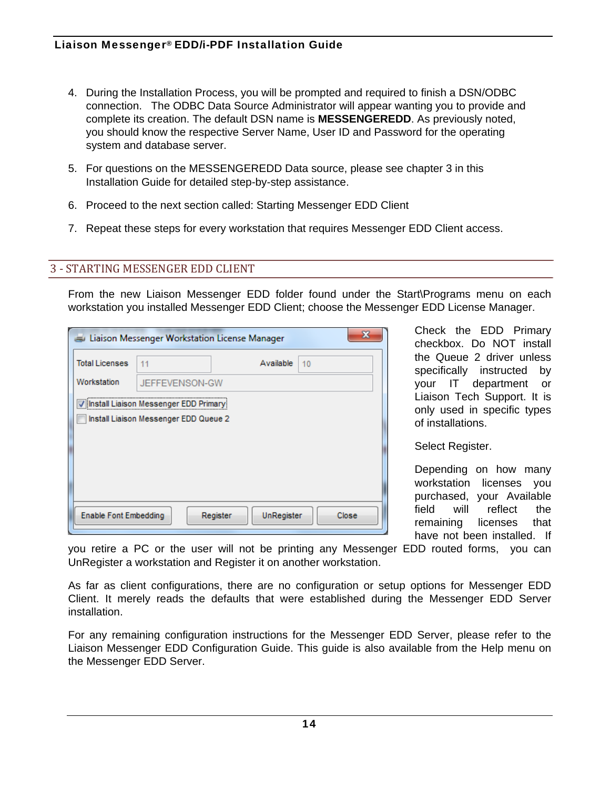- 4. During the Installation Process, you will be prompted and required to finish a DSN/ODBC connection. The ODBC Data Source Administrator will appear wanting you to provide and complete its creation. The default DSN name is **MESSENGEREDD**. As previously noted, you should know the respective Server Name, User ID and Password for the operating system and database server.
- 5. For questions on the MESSENGEREDD Data source, please see chapter 3 in this Installation Guide for detailed step-by-step assistance.
- 6. Proceed to the next section called: Starting Messenger EDD Client
- 7. Repeat these steps for every workstation that requires Messenger EDD Client access.

### **3 - STARTING MESSENGER EDD CLIENT**

From the new Liaison Messenger EDD folder found under the Start\Programs menu on each workstation you installed Messenger EDD Client; choose the Messenger EDD License Manager.

| х<br>Liaison Messenger Workstation License Manager |                                                                                  |                        |       |  |
|----------------------------------------------------|----------------------------------------------------------------------------------|------------------------|-------|--|
| <b>Total Licenses</b>                              | 11                                                                               | Available              | 10    |  |
| Workstation                                        | JEFFEVENSON-GW                                                                   |                        |       |  |
|                                                    | V Install Liaison Messenger EDD Primary<br>Install Liaison Messenger EDD Queue 2 |                        |       |  |
| <b>Enable Font Embedding</b>                       |                                                                                  | UnRegister<br>Register | Close |  |

Check the EDD Primary checkbox. Do NOT install the Queue 2 driver unless specifically instructed by your IT department or Liaison Tech Support. It is only used in specific types of installations.

Select Register.

Depending on how many workstation licenses you purchased, your Available field will reflect the remaining licenses that have not been installed. If

you retire a PC or the user will not be printing any Messenger EDD routed forms, you can UnRegister a workstation and Register it on another workstation.

As far as client configurations, there are no configuration or setup options for Messenger EDD Client. It merely reads the defaults that were established during the Messenger EDD Server installation.

For any remaining configuration instructions for the Messenger EDD Server, please refer to the Liaison Messenger EDD Configuration Guide. This guide is also available from the Help menu on the Messenger EDD Server.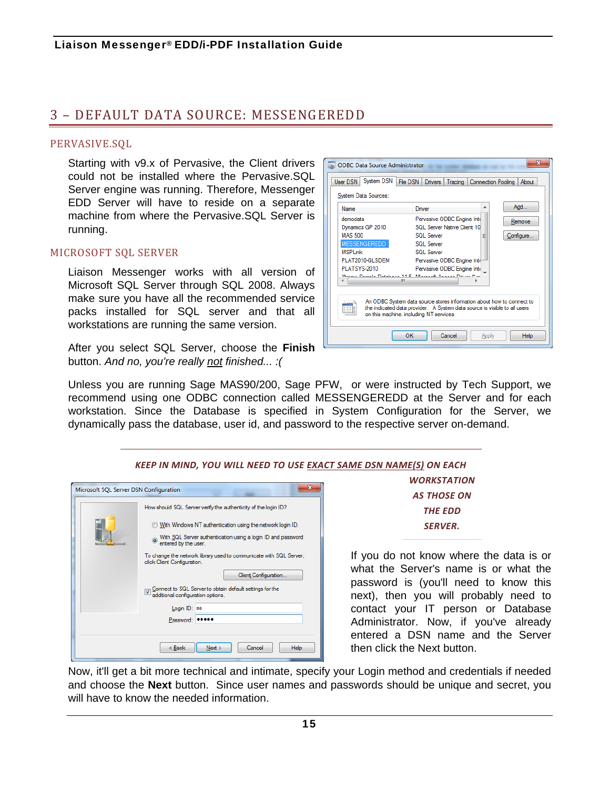## 3 – DEFAULT DATA SOURCE: MESSENGEREDD

#### PERVASIVE.SQL

Starting with v9.x of Pervasive, the Client drivers could not be installed where the Pervasive.SQL Server engine was running. Therefore, Messenger EDD Server will have to reside on a separate machine from where the Pervasive.SQL Server is running.

#### MICROSOFT SQL SERVER

Liaison Messenger works with all version of Microsoft SQL Server through SQL 2008. Always make sure you have all the recommended service packs installed for SQL server and that all workstations are running the same version.

After you select SQL Server, choose the **Finish** button. *And no, you're really not finished... :(*



Unless you are running Sage MAS90/200, Sage PFW, or were instructed by Tech Support, we recommend using one ODBC connection called MESSENGEREDD at the Server and for each workstation. Since the Database is specified in System Configuration for the Server, we dynamically pass the database, user id, and password to the respective server on-demand.

*KEEP IN MIND, YOU WILL NEED TO USE EXACT SAME DSN NAME(S) ON EACH*

| How should SQL Server verify the authenticity of the login ID?                                    |                  |
|---------------------------------------------------------------------------------------------------|------------------|
| With Windows NT authentication using the network login ID.                                        |                  |
| With SQL Server authentication using a login ID and password<br>entered by the user.              |                  |
| To change the network library used to communicate with SQL Server,<br>click Client Configuration. | If you c         |
| Client Configuration                                                                              | what th          |
| Connect to SQL Server to obtain default settings for the<br>additional configuration options.     | passwo<br>next), |
| Login ID: sa                                                                                      | contact          |
| Password: 00000                                                                                   | Adminis          |

*WORKSTATION AS THOSE ON THE EDD SERVER.*

Io not know where the data is or ne Server's name is or what the ord is (you'll need to know this then you will probably need to your IT person or Database strator. Now, if you've already I a DSN name and the Server ck the Next button.

Now, it'll get a bit more technical and intimate, specify your Login method and credentials if needed and choose the **Next** button. Since user names and passwords should be unique and secret, you will have to know the needed information.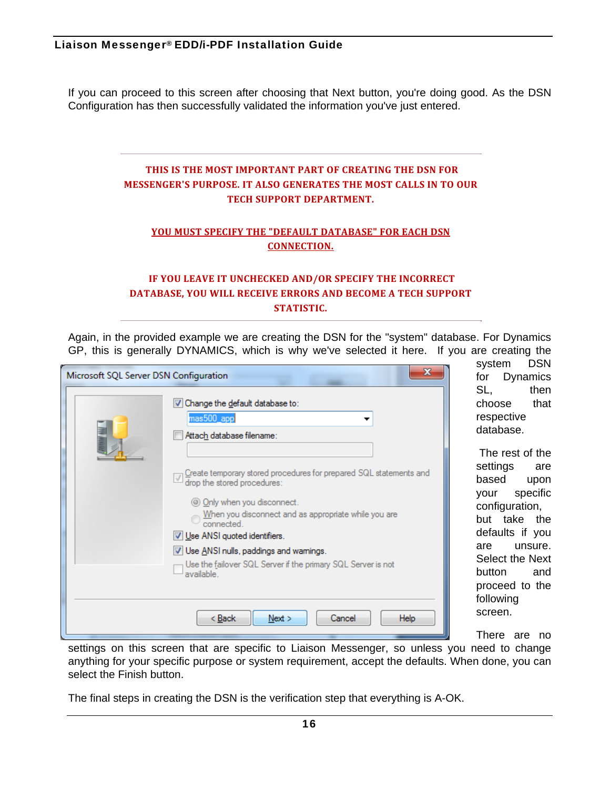If you can proceed to this screen after choosing that Next button, you're doing good. As the DSN Configuration has then successfully validated the information you've just entered.

### **THIS IS THE MOST IMPORTANT PART OF CREATING THE DSN FOR MESSENGER'S PURPOSE. IT ALSO GENERATES THE MOST CALLS IN TO OUR TECH SUPPORT DEPARTMENT.**

#### **YOU MUST SPECIFY THE "DEFAULT DATABASE" FOR EACH DSN CONNECTION.**

### **IF YOU LEAVE IT UNCHECKED AND/OR SPECIFY THE INCORRECT DATABASE, YOU WILL RECEIVE ERRORS AND BECOME A TECH SUPPORT STATISTIC.**

Again, in the provided example we are creating the DSN for the "system" database. For Dynamics GP, this is generally DYNAMICS, which is why we've selected it here. If you are creating the

| Microsoft SQL Server DSN Configuration |                                                                                                                                                                                                                                                                                                                                                                     |
|----------------------------------------|---------------------------------------------------------------------------------------------------------------------------------------------------------------------------------------------------------------------------------------------------------------------------------------------------------------------------------------------------------------------|
|                                        | V Change the default database to:<br>mas500_app<br>Attach database filename:<br>Create temporary stored procedures for prepared SQL statements and<br>drop the stored procedures:<br>© Only when you disconnect.<br>When you disconnect and as appropriate while you are<br>connected.<br>V Use ANSI quoted identifiers.<br>V Use ANSI nulls, paddings and wamings. |
|                                        | Use the failover SQL Server if the primary SQL Server is not<br>available                                                                                                                                                                                                                                                                                           |
|                                        | < <u>B</u> ack<br>Next<br>Cancel<br><b>Help</b>                                                                                                                                                                                                                                                                                                                     |

system DSN for Dynamics SL, then choose that respective database.

 The rest of the settings are based upon your specific configuration, but take the defaults if you are unsure. Select the Next button and proceed to the following screen.

There are no

settings on this screen that are specific to Liaison Messenger, so unless you need to change anything for your specific purpose or system requirement, accept the defaults. When done, you can select the Finish button.

The final steps in creating the DSN is the verification step that everything is A-OK.